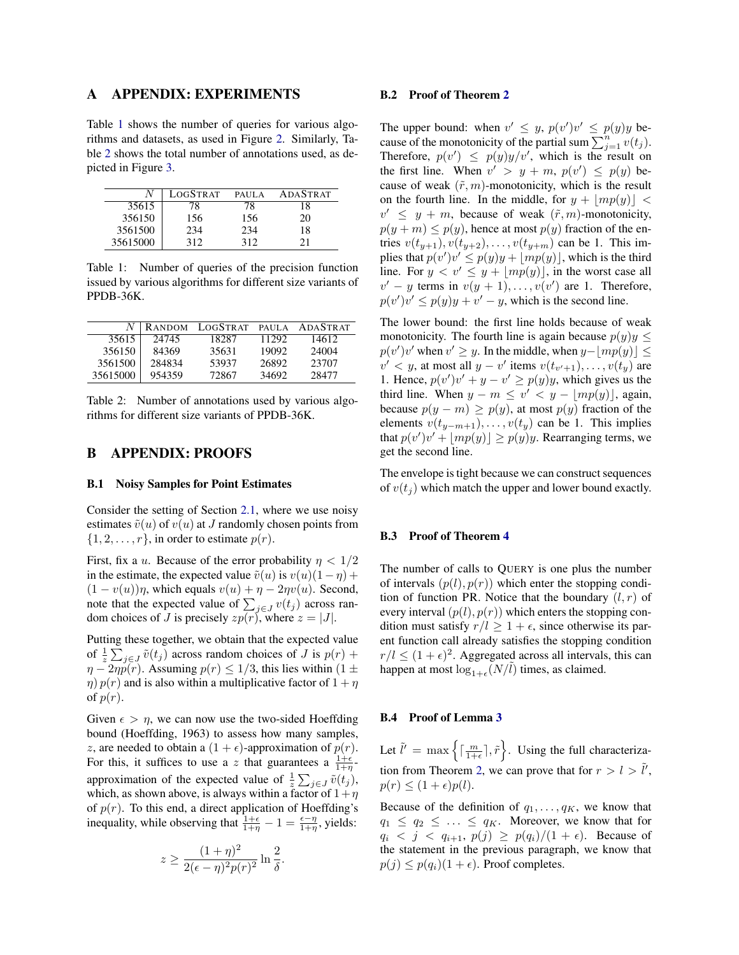# A APPENDIX: EXPERIMENTS

Table [1](#page-0-0) shows the number of queries for various algorithms and datasets, as used in Figure 2. Similarly, Table [2](#page-0-1) shows the total number of annotations used, as depicted in Figure 3.

|          | LOGSTRAT | <b>PAULA</b> | <b>ADASTRAT</b> |
|----------|----------|--------------|-----------------|
| 35615    | 78       | 78           | 18              |
| 356150   | 156      | 156          | 20              |
| 3561500  | 234      | 234          | 18              |
| 35615000 | 312      | 312          | 21              |

<span id="page-0-0"></span>Table 1: Number of queries of the precision function issued by various algorithms for different size variants of PPDB-36K.

|          | <b>RANDOM</b> | LOGSTRAT | PAUL A | <b>ADASTRAT</b> |
|----------|---------------|----------|--------|-----------------|
| 35615    | 24745         | 18287    | 11292  | 14612           |
| 356150   | 84369         | 35631    | 19092  | 24004           |
| 3561500  | 284834        | 53937    | 26892  | 23707           |
| 35615000 | 954359        | 72867    | 34692  | 28477           |

<span id="page-0-1"></span>Table 2: Number of annotations used by various algorithms for different size variants of PPDB-36K.

## B APPENDIX: PROOFS

#### B.1 Noisy Samples for Point Estimates

Consider the setting of Section 2.1, where we use noisy estimates  $\tilde{v}(u)$  of  $v(u)$  at J randomly chosen points from  $\{1, 2, \ldots, r\}$ , in order to estimate  $p(r)$ .

First, fix a u. Because of the error probability  $\eta < 1/2$ in the estimate, the expected value  $\tilde{v}(u)$  is  $v(u)(1 - \eta)$  +  $(1 - v(u))\eta$ , which equals  $v(u) + \eta - 2\eta v(u)$ . Second, note that the expected value of  $\sum_{j \in J} v(t_j)$  across random choices of J is precisely  $zp(r)$ , where  $z = |J|$ .

Putting these together, we obtain that the expected value of  $\frac{1}{z} \sum_{j \in J} \tilde{v}(t_j)$  across random choices of J is  $p(r)$  +  $\eta - 2\eta \tilde{p}(r)$ . Assuming  $p(r) \leq 1/3$ , this lies within  $(1 \pm \eta)$  $\eta$ )  $p(r)$  and is also within a multiplicative factor of  $1 + \eta$ of  $p(r)$ .

Given  $\epsilon > \eta$ , we can now use the two-sided Hoeffding bound (Hoeffding, 1963) to assess how many samples, z, are needed to obtain a  $(1 + \epsilon)$ -approximation of  $p(r)$ . For this, it suffices to use a z that guarantees a  $\frac{1+\epsilon}{1+\eta}$ . approximation of the expected value of  $\frac{1}{z} \sum_{j \in J} \tilde{v}(t_j)$ , which, as shown above, is always within a factor of  $1+\eta$ of  $p(r)$ . To this end, a direct application of Hoeffding's inequality, while observing that  $\frac{1+\epsilon}{1+\eta} - 1 = \frac{\epsilon - \eta}{1+\eta}$ , yields:

$$
z \ge \frac{(1+\eta)^2}{2(\epsilon-\eta)^2 p(r)^2} \ln \frac{2}{\delta}.
$$

#### B.2 Proof of Theorem 2

The upper bound: when  $v' \leq y$ ,  $p(v')v' \leq p(y)y$  because of the monotonicity of the partial sum  $\sum_{j=1}^{n} v(t_j)$ . Therefore,  $p(v') \leq p(y)y/v'$ , which is the result on the first line. When  $v' > y + m$ ,  $p(v') \leq p(y)$  because of weak  $(\tilde{r}, m)$ -monotonicity, which is the result on the fourth line. In the middle, for  $y + |mp(y)| <$  $v' \leq y + m$ , because of weak  $(\tilde{r}, m)$ -monotonicity,  $p(y + m) \leq p(y)$ , hence at most  $p(y)$  fraction of the entries  $v(t_{y+1}), v(t_{y+2}), \ldots, v(t_{y+m})$  can be 1. This implies that  $p(v')v' \leq p(y)y + \lfloor mp(y) \rfloor$ , which is the third line. For  $y < v' \leq y + \lfloor mp(y) \rfloor$ , in the worst case all  $v' - y$  terms in  $v(y + 1), \ldots, v(v')$  are 1. Therefore,  $p(v')v' \leq p(y)y + v' - y$ , which is the second line.

The lower bound: the first line holds because of weak monotonicity. The fourth line is again because  $p(y)y \leq$  $p(v')v'$  when  $v' \geq y$ . In the middle, when  $y - \lfloor mp(y) \rfloor \leq$  $v' < y$ , at most all  $y - v'$  items  $v(t_{v'+1}), \ldots, v(t_y)$  are 1. Hence,  $p(v')v' + y - v' \geq p(y)y$ , which gives us the third line. When  $y - m \leq v' < y - |mp(y)|$ , again, because  $p(y - m) \geq p(y)$ , at most  $p(y)$  fraction of the elements  $v(t_{y-m+1}), \ldots, v(t_y)$  can be 1. This implies that  $p(v')v' + \lfloor mp(y) \rfloor \geq p(y)y$ . Rearranging terms, we get the second line.

The envelope is tight because we can construct sequences of  $v(t_i)$  which match the upper and lower bound exactly.

## B.3 Proof of Theorem 4

The number of calls to QUERY is one plus the number of intervals  $(p(l), p(r))$  which enter the stopping condition of function PR. Notice that the boundary  $(l, r)$  of every interval  $(p(l), p(r))$  which enters the stopping condition must satisfy  $r/l > 1 + \epsilon$ , since otherwise its parent function call already satisfies the stopping condition  $r/l \le (1 + \epsilon)^2$ . Aggregated across all intervals, this can happen at most  $\log_{1+\epsilon}(N/\tilde{l})$  times, as claimed.

#### B.4 Proof of Lemma 3

Let  $\tilde{l}' = \max \left\{ \left\lceil \frac{m}{1+\epsilon} \right\rceil, \tilde{r} \right\}$ . Using the full characterization from Theorem 2, we can prove that for  $r > l > \tilde{l}'$ ,  $p(r) \leq (1+\epsilon)p(l).$ 

Because of the definition of  $q_1, \ldots, q_K$ , we know that  $q_1 \leq q_2 \leq \ldots \leq q_K$ . Moreover, we know that for  $q_i < j < q_{i+1}, p(j) \geq p(q_i)/(1 + \epsilon)$ . Because of the statement in the previous paragraph, we know that  $p(j) \leq p(q_i)(1+\epsilon)$ . Proof completes.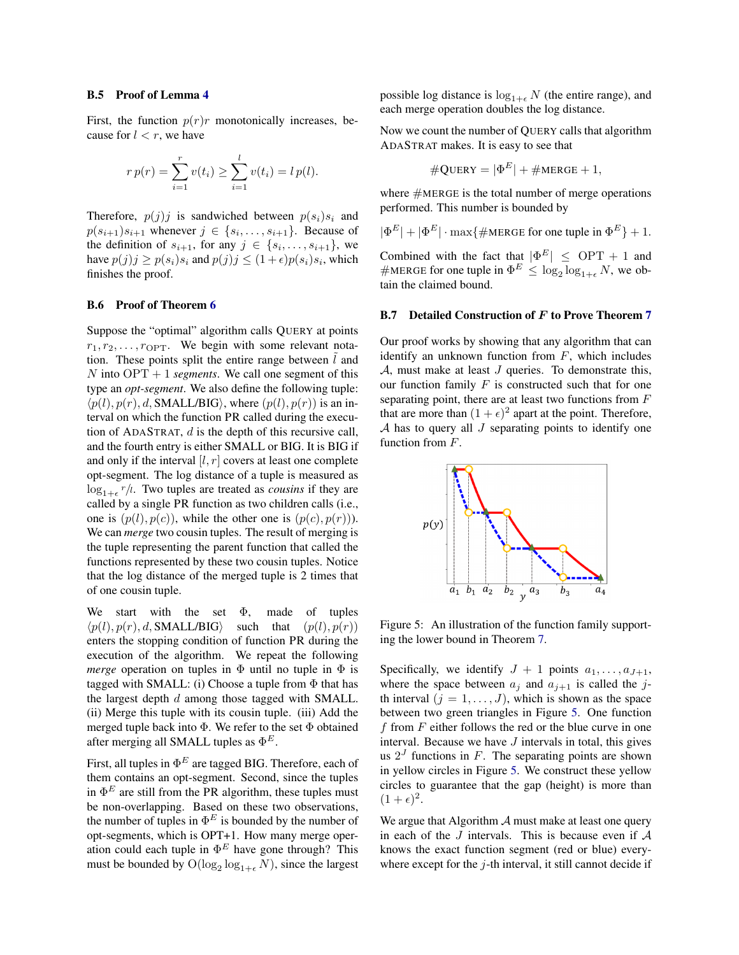#### B.5 Proof of Lemma 4

First, the function  $p(r)r$  monotonically increases, because for  $l < r$ , we have

$$
r p(r) = \sum_{i=1}^{r} v(t_i) \ge \sum_{i=1}^{l} v(t_i) = l p(l).
$$

Therefore,  $p(j)j$  is sandwiched between  $p(s_i)s_i$  and  $p(s_{i+1})s_{i+1}$  whenever  $j \in \{s_i, \ldots, s_{i+1}\}.$  Because of the definition of  $s_{i+1}$ , for any  $j \in \{s_i, \ldots, s_{i+1}\}\,$ , we have  $p(j)j \geq p(s_i)s_i$  and  $p(j)j \leq (1+\epsilon)p(s_i)s_i$ , which finishes the proof.

### B.6 Proof of Theorem 6

Suppose the "optimal" algorithm calls QUERY at points  $r_1, r_2, \ldots, r_{\text{OPT}}$ . We begin with some relevant notation. These points split the entire range between  $l$  and N into  $OPT + 1$  *segments*. We call one segment of this type an *opt-segment*. We also define the following tuple:  $\langle p(l), p(r), d, \text{SMALL/BIG} \rangle$ , where  $(p(l), p(r))$  is an interval on which the function PR called during the execution of ADASTRAT, d is the depth of this recursive call, and the fourth entry is either SMALL or BIG. It is BIG if and only if the interval  $[l, r]$  covers at least one complete opt-segment. The log distance of a tuple is measured as  $\log_{1+\epsilon} r/l$ . Two tuples are treated as *cousins* if they are called by a single PR function as two children calls (i.e., one is  $(p(l), p(c))$ , while the other one is  $(p(c), p(r))$ . We can *merge* two cousin tuples. The result of merging is the tuple representing the parent function that called the functions represented by these two cousin tuples. Notice that the log distance of the merged tuple is 2 times that of one cousin tuple.

We start with the set  $\Phi$ , made of tuples  $\langle p(l), p(r), d, \text{SMALL/BIG} \rangle$  such that  $(p(l), p(r))$ enters the stopping condition of function PR during the execution of the algorithm. We repeat the following *merge* operation on tuples in  $\Phi$  until no tuple in  $\Phi$  is tagged with SMALL: (i) Choose a tuple from  $\Phi$  that has the largest depth  $d$  among those tagged with SMALL. (ii) Merge this tuple with its cousin tuple. (iii) Add the merged tuple back into Φ. We refer to the set Φ obtained after merging all SMALL tuples as  $\Phi^E$ .

First, all tuples in  $\Phi^E$  are tagged BIG. Therefore, each of them contains an opt-segment. Second, since the tuples in  $\Phi^E$  are still from the PR algorithm, these tuples must be non-overlapping. Based on these two observations, the number of tuples in  $\Phi^E$  is bounded by the number of opt-segments, which is OPT+1. How many merge operation could each tuple in  $\Phi^E$  have gone through? This must be bounded by  $O(\log_2 \log_{1+\epsilon} N)$ , since the largest possible log distance is  $log_{1+\epsilon} N$  (the entire range), and each merge operation doubles the log distance.

Now we count the number of QUERY calls that algorithm ADASTRAT makes. It is easy to see that

$$
\#\text{Query} = |\Phi^E| + \#\text{MERGE} + 1,
$$

where  $#MERGE$  is the total number of merge operations performed. This number is bounded by

$$
|\Phi^E| + |\Phi^E| \cdot \max{\#\text{MERGE for one tuple in } \Phi^E} + 1.
$$

Combined with the fact that  $|\Phi^E| \leq \text{OPT} + 1$  and #MERGE for one tuple in  $\Phi^E \leq \log_2 \log_{1+\epsilon} N$ , we obtain the claimed bound.

#### B.7 Detailed Construction of F to Prove Theorem 7

Our proof works by showing that any algorithm that can identify an unknown function from  $F$ , which includes  $A$ , must make at least  $J$  queries. To demonstrate this, our function family  $F$  is constructed such that for one separating point, there are at least two functions from  $F$ that are more than  $(1 + \epsilon)^2$  apart at the point. Therefore,  $A$  has to query all  $J$  separating points to identify one function from F.



<span id="page-1-0"></span>Figure 5: An illustration of the function family supporting the lower bound in Theorem 7.

Specifically, we identify  $J + 1$  points  $a_1, \ldots, a_{J+1}$ , where the space between  $a_j$  and  $a_{j+1}$  is called the jth interval  $(j = 1, \ldots, J)$ , which is shown as the space between two green triangles in Figure [5.](#page-1-0) One function f from  $F$  either follows the red or the blue curve in one interval. Because we have  $J$  intervals in total, this gives us  $2<sup>J</sup>$  functions in F. The separating points are shown in yellow circles in Figure [5.](#page-1-0) We construct these yellow circles to guarantee that the gap (height) is more than  $(1+\epsilon)^2$ .

We argue that Algorithm  $A$  must make at least one query in each of the  $J$  intervals. This is because even if  $A$ knows the exact function segment (red or blue) everywhere except for the  $j$ -th interval, it still cannot decide if